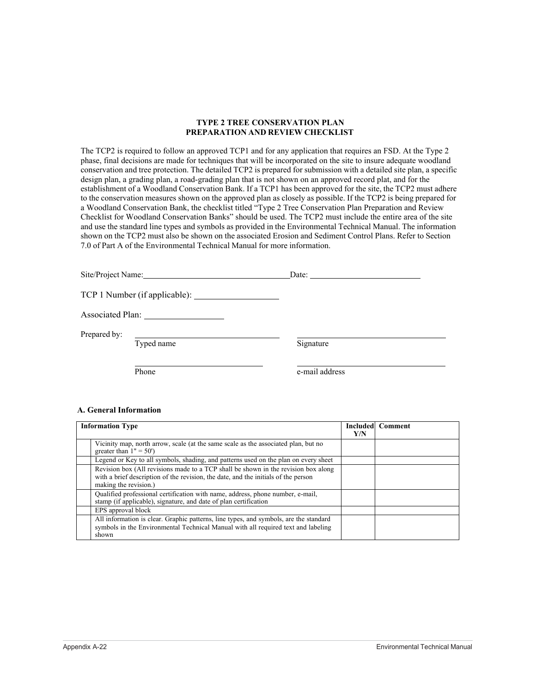#### **TYPE 2 TREE CONSERVATION PLAN PREPARATION AND REVIEW CHECKLIST**

The TCP2 is required to follow an approved TCP1 and for any application that requires an FSD. At the Type 2 phase, final decisions are made for techniques that will be incorporated on the site to insure adequate woodland conservation and tree protection. The detailed TCP2 is prepared for submission with a detailed site plan, a specific design plan, a grading plan, a road-grading plan that is not shown on an approved record plat, and for the establishment of a Woodland Conservation Bank. If a TCP1 has been approved for the site, the TCP2 must adhere to the conservation measures shown on the approved plan as closely as possible. If the TCP2 is being prepared for a Woodland Conservation Bank, the checklist titled "Type 2 Tree Conservation Plan Preparation and Review Checklist for Woodland Conservation Banks" should be used. The TCP2 must include the entire area of the site and use the standard line types and symbols as provided in the Environmental Technical Manual. The information shown on the TCP2 must also be shown on the associated Erosion and Sediment Control Plans. Refer to Section 7.0 of Part A of the Environmental Technical Manual for more information.

|              | Site/Project Name: | Date: the contract of the contract of the contract of the contract of the contract of the contract of the contract of the contract of the contract of the contract of the contract of the contract of the contract of the cont |
|--------------|--------------------|--------------------------------------------------------------------------------------------------------------------------------------------------------------------------------------------------------------------------------|
|              |                    |                                                                                                                                                                                                                                |
|              |                    |                                                                                                                                                                                                                                |
| Prepared by: | Typed name         | Signature                                                                                                                                                                                                                      |
|              | Phone              | e-mail address                                                                                                                                                                                                                 |

#### **A. General Information**

| <b>Information Type</b>                                                                                                                                                                           |  | <b>Included</b> Comment |
|---------------------------------------------------------------------------------------------------------------------------------------------------------------------------------------------------|--|-------------------------|
| Vicinity map, north arrow, scale (at the same scale as the associated plan, but no<br>greater than $1" = 50'$ )                                                                                   |  |                         |
| Legend or Key to all symbols, shading, and patterns used on the plan on every sheet                                                                                                               |  |                         |
| Revision box (All revisions made to a TCP shall be shown in the revision box along<br>with a brief description of the revision, the date, and the initials of the person<br>making the revision.) |  |                         |
| Qualified professional certification with name, address, phone number, e-mail,<br>stamp (if applicable), signature, and date of plan certification                                                |  |                         |
| EPS approval block                                                                                                                                                                                |  |                         |
| All information is clear. Graphic patterns, line types, and symbols, are the standard<br>symbols in the Environmental Technical Manual with all required text and labeling<br>shown               |  |                         |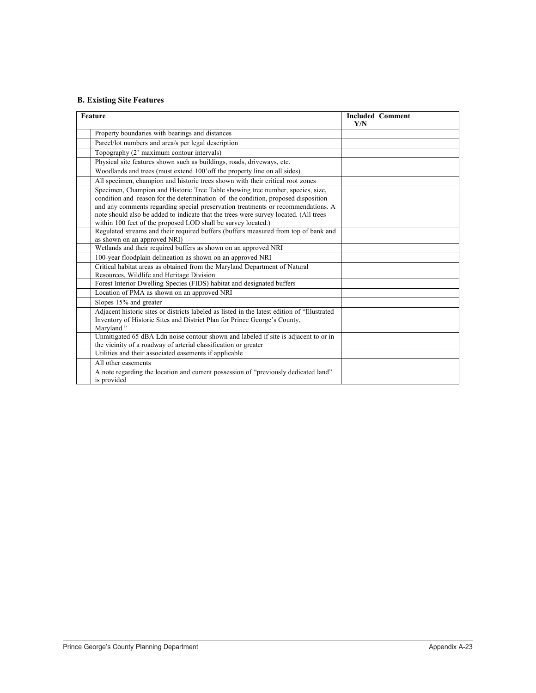## **B. Existing Site Features**

| Feature |                                                                                                                                                                                                                                                                                                                                                                                                                  | Y/N | <b>Included Comment</b> |
|---------|------------------------------------------------------------------------------------------------------------------------------------------------------------------------------------------------------------------------------------------------------------------------------------------------------------------------------------------------------------------------------------------------------------------|-----|-------------------------|
|         | Property boundaries with bearings and distances                                                                                                                                                                                                                                                                                                                                                                  |     |                         |
|         | Parcel/lot numbers and area/s per legal description                                                                                                                                                                                                                                                                                                                                                              |     |                         |
|         | Topography (2' maximum contour intervals)                                                                                                                                                                                                                                                                                                                                                                        |     |                         |
|         | Physical site features shown such as buildings, roads, driveways, etc.                                                                                                                                                                                                                                                                                                                                           |     |                         |
|         | Woodlands and trees (must extend 100'off the property line on all sides)                                                                                                                                                                                                                                                                                                                                         |     |                         |
|         | All specimen, champion and historic trees shown with their critical root zones                                                                                                                                                                                                                                                                                                                                   |     |                         |
|         | Specimen, Champion and Historic Tree Table showing tree number, species, size,<br>condition and reason for the determination of the condition, proposed disposition<br>and any comments regarding special preservation treatments or recommendations. A<br>note should also be added to indicate that the trees were survey located. (All trees<br>within 100 feet of the proposed LOD shall be survey located.) |     |                         |
|         | Regulated streams and their required buffers (buffers measured from top of bank and<br>as shown on an approved NRI)                                                                                                                                                                                                                                                                                              |     |                         |
|         | Wetlands and their required buffers as shown on an approved NRI                                                                                                                                                                                                                                                                                                                                                  |     |                         |
|         | 100-year floodplain delineation as shown on an approved NRI                                                                                                                                                                                                                                                                                                                                                      |     |                         |
|         | Critical habitat areas as obtained from the Maryland Department of Natural<br>Resources, Wildlife and Heritage Division                                                                                                                                                                                                                                                                                          |     |                         |
|         | Forest Interior Dwelling Species (FIDS) habitat and designated buffers                                                                                                                                                                                                                                                                                                                                           |     |                         |
|         | Location of PMA as shown on an approved NRI                                                                                                                                                                                                                                                                                                                                                                      |     |                         |
|         | Slopes 15% and greater                                                                                                                                                                                                                                                                                                                                                                                           |     |                         |
|         | Adjacent historic sites or districts labeled as listed in the latest edition of "Illustrated<br>Inventory of Historic Sites and District Plan for Prince George's County,<br>Maryland."                                                                                                                                                                                                                          |     |                         |
|         | Unmitigated 65 dBA Ldn noise contour shown and labeled if site is adjacent to or in<br>the vicinity of a roadway of arterial classification or greater                                                                                                                                                                                                                                                           |     |                         |
|         | Utilities and their associated easements if applicable                                                                                                                                                                                                                                                                                                                                                           |     |                         |
|         | All other easements                                                                                                                                                                                                                                                                                                                                                                                              |     |                         |
|         | A note regarding the location and current possession of "previously dedicated land"<br>is provided                                                                                                                                                                                                                                                                                                               |     |                         |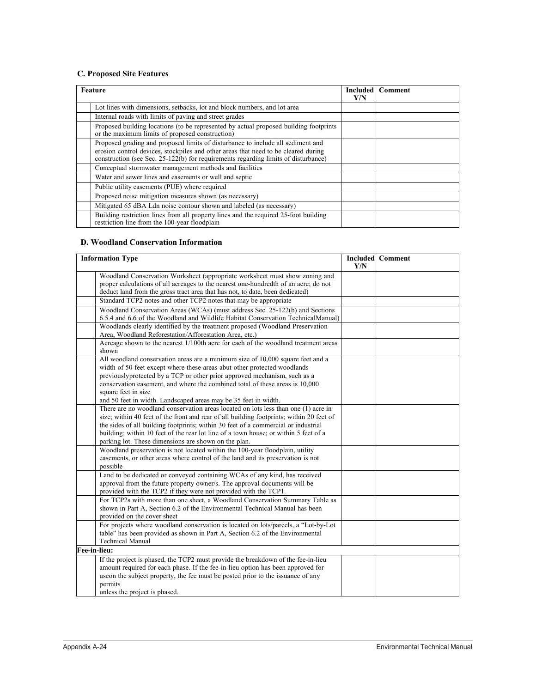# **C. Proposed Site Features**

| Feature                                                                                                                                                                                                                                                     | Y/N | <b>Included</b> Comment |
|-------------------------------------------------------------------------------------------------------------------------------------------------------------------------------------------------------------------------------------------------------------|-----|-------------------------|
| Lot lines with dimensions, setbacks, lot and block numbers, and lot area                                                                                                                                                                                    |     |                         |
| Internal roads with limits of paving and street grades                                                                                                                                                                                                      |     |                         |
| Proposed building locations (to be represented by actual proposed building footprints<br>or the maximum limits of proposed construction)                                                                                                                    |     |                         |
| Proposed grading and proposed limits of disturbance to include all sediment and<br>erosion control devices, stockpiles and other areas that need to be cleared during<br>construction (see Sec. 25-122(b) for requirements regarding limits of disturbance) |     |                         |
| Conceptual stormwater management methods and facilities                                                                                                                                                                                                     |     |                         |
| Water and sewer lines and easements or well and septic                                                                                                                                                                                                      |     |                         |
| Public utility easements (PUE) where required                                                                                                                                                                                                               |     |                         |
| Proposed noise mitigation measures shown (as necessary)                                                                                                                                                                                                     |     |                         |
| Mitigated 65 dBA Ldn noise contour shown and labeled (as necessary)                                                                                                                                                                                         |     |                         |
| Building restriction lines from all property lines and the required 25-foot building<br>restriction line from the 100-year floodplain                                                                                                                       |     |                         |

### **D. Woodland Conservation Information**

| <b>Information Type</b>                                                                                                                                                                                                                                                                                                                                                                                              |  | <b>Included Comment</b> |
|----------------------------------------------------------------------------------------------------------------------------------------------------------------------------------------------------------------------------------------------------------------------------------------------------------------------------------------------------------------------------------------------------------------------|--|-------------------------|
| Woodland Conservation Worksheet (appropriate worksheet must show zoning and<br>proper calculations of all acreages to the nearest one-hundredth of an acre; do not<br>deduct land from the gross tract area that has not, to date, been dedicated)                                                                                                                                                                   |  |                         |
| Standard TCP2 notes and other TCP2 notes that may be appropriate                                                                                                                                                                                                                                                                                                                                                     |  |                         |
| Woodland Conservation Areas (WCAs) (must address Sec. 25-122(b) and Sections<br>6.5.4 and 6.6 of the Woodland and Wildlife Habitat Conservation TechnicalManual)                                                                                                                                                                                                                                                     |  |                         |
| Woodlands clearly identified by the treatment proposed (Woodland Preservation<br>Area, Woodland Reforestation/Afforestation Area, etc.)                                                                                                                                                                                                                                                                              |  |                         |
| Acreage shown to the nearest 1/100th acre for each of the woodland treatment areas<br>shown                                                                                                                                                                                                                                                                                                                          |  |                         |
| All woodland conservation areas are a minimum size of 10,000 square feet and a<br>width of 50 feet except where these areas abut other protected woodlands<br>previouslyprotected by a TCP or other prior approved mechanism, such as a<br>conservation easement, and where the combined total of these areas is 10,000<br>square feet in size<br>and 50 feet in width. Landscaped areas may be 35 feet in width.    |  |                         |
| There are no woodland conservation areas located on lots less than one (1) acre in<br>size; within 40 feet of the front and rear of all building footprints; within 20 feet of<br>the sides of all building footprints; within 30 feet of a commercial or industrial<br>building; within 10 feet of the rear lot line of a town house; or within 5 feet of a<br>parking lot. These dimensions are shown on the plan. |  |                         |
| Woodland preservation is not located within the 100-year floodplain, utility<br>easements, or other areas where control of the land and its preservation is not<br>possible                                                                                                                                                                                                                                          |  |                         |
| Land to be dedicated or conveyed containing WCAs of any kind, has received<br>approval from the future property owner/s. The approval documents will be<br>provided with the TCP2 if they were not provided with the TCP1.                                                                                                                                                                                           |  |                         |
| For TCP2s with more than one sheet, a Woodland Conservation Summary Table as<br>shown in Part A, Section 6.2 of the Environmental Technical Manual has been<br>provided on the cover sheet                                                                                                                                                                                                                           |  |                         |
| For projects where woodland conservation is located on lots/parcels, a "Lot-by-Lot<br>table" has been provided as shown in Part A, Section 6.2 of the Environmental<br><b>Technical Manual</b>                                                                                                                                                                                                                       |  |                         |
| Fee-in-lieu:                                                                                                                                                                                                                                                                                                                                                                                                         |  |                         |
| If the project is phased, the TCP2 must provide the breakdown of the fee-in-lieu<br>amount required for each phase. If the fee-in-lieu option has been approved for<br>use on the subject property, the fee must be posted prior to the issuance of any<br>permits<br>unless the project is phased.                                                                                                                  |  |                         |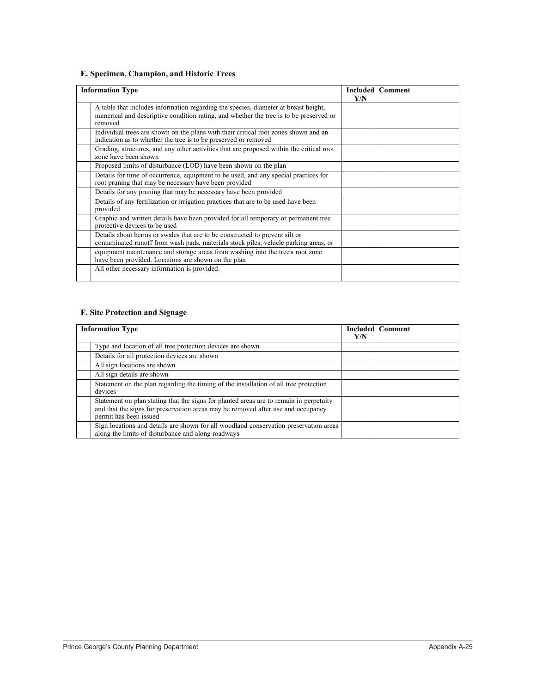## **E. Specimen, Champion, and Historic Trees**

| <b>Information Type</b>                                                                                                                                                                  |  | <b>Included Comment</b> |
|------------------------------------------------------------------------------------------------------------------------------------------------------------------------------------------|--|-------------------------|
| A table that includes information regarding the species, diameter at breast height,<br>numerical and descriptive condition rating, and whether the tree is to be preserved or<br>removed |  |                         |
| Individual trees are shown on the plans with their critical root zones shown and an<br>indication as to whether the tree is to be preserved or removed                                   |  |                         |
| Grading, structures, and any other activities that are proposed within the critical root<br>zone have been shown                                                                         |  |                         |
| Proposed limits of disturbance (LOD) have been shown on the plan                                                                                                                         |  |                         |
| Details for time of occurrence, equipment to be used, and any special practices for<br>root pruning that may be necessary have been provided                                             |  |                         |
| Details for any pruning that may be necessary have been provided                                                                                                                         |  |                         |
| Details of any fertilization or irrigation practices that are to be used have been<br>provided                                                                                           |  |                         |
| Graphic and written details have been provided for all temporary or permanent tree<br>protective devices to be used                                                                      |  |                         |
| Details about berms or swales that are to be constructed to prevent silt or<br>contaminated runoff from wash pads, materials stock piles, vehicle parking areas, or                      |  |                         |
| equipment maintenance and storage areas from washing into the tree's root zone<br>have been provided. Locations are shown on the plan                                                    |  |                         |
| All other necessary information is provided.                                                                                                                                             |  |                         |

### **F. Site Protection and Signage**

| <b>Information Type</b> |                                                                                                                                                                                                      | Y/N | <b>Included Comment</b> |
|-------------------------|------------------------------------------------------------------------------------------------------------------------------------------------------------------------------------------------------|-----|-------------------------|
|                         | Type and location of all tree protection devices are shown                                                                                                                                           |     |                         |
|                         | Details for all protection devices are shown                                                                                                                                                         |     |                         |
|                         | All sign locations are shown                                                                                                                                                                         |     |                         |
|                         | All sign details are shown                                                                                                                                                                           |     |                         |
|                         | Statement on the plan regarding the timing of the installation of all tree protection<br>devices                                                                                                     |     |                         |
|                         | Statement on plan stating that the signs for planted areas are to remain in perpetuity<br>and that the signs for preservation areas may be removed after use and occupancy<br>permit has been issued |     |                         |
|                         | Sign locations and details are shown for all woodland conservation preservation areas<br>along the limits of disturbance and along roadways                                                          |     |                         |